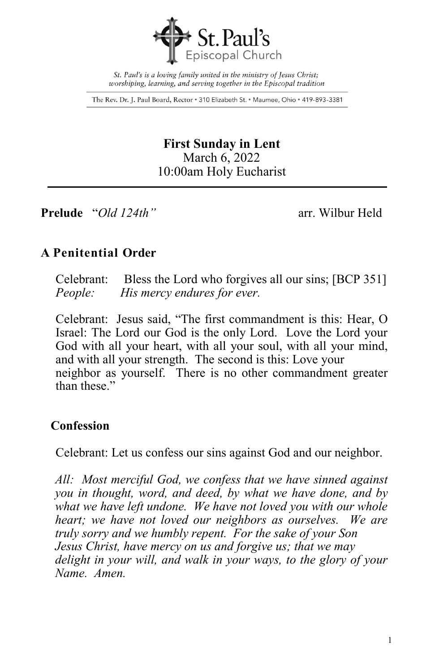

St. Paul's is a loving family united in the ministry of Jesus Christ; worshiping, learning, and serving together in the Episcopal tradition

The Rev. Dr. J. Paul Board, Rector . 310 Elizabeth St. . Maumee, Ohio . 419-893-3381

**First Sunday in Lent** March 6, 2022 10:00am Holy Eucharist

**Prelude** "*Old 124th"* arr. Wilbur Held

## **A Penitential Order**

Celebrant: Bless the Lord who forgives all our sins; [BCP 351] *People: His mercy endures for ever.*

Celebrant: Jesus said, "The first commandment is this: Hear, O Israel: The Lord our God is the only Lord. Love the Lord your God with all your heart, with all your soul, with all your mind, and with all your strength. The second is this: Love your neighbor as yourself. There is no other commandment greater than these."

### **Confession**

Celebrant: Let us confess our sins against God and our neighbor.

*All: Most merciful God, we confess that we have sinned against you in thought, word, and deed, by what we have done, and by what we have left undone. We have not loved you with our whole heart; we have not loved our neighbors as ourselves. We are truly sorry and we humbly repent. For the sake of your Son Jesus Christ, have mercy on us and forgive us; that we may delight in your will, and walk in your ways, to the glory of your Name. Amen.*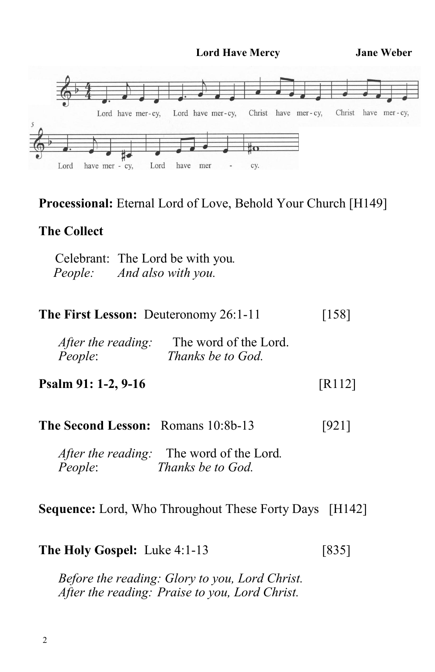**Lord Have Mercy Jane Weber**



#### **Processional:** Eternal Lord of Love, Behold Your Church [H149]

## **The Collect**

Celebrant: The Lord be with you*. People: And also with you.*

| <b>The First Lesson: Deuteronomy 26:1-11</b>                                    | $[158]$ |
|---------------------------------------------------------------------------------|---------|
| The word of the Lord.<br>After the reading:<br>People:<br>Thanks be to God.     |         |
| Psalm 91: 1-2, 9-16                                                             | [R112]  |
| <b>The Second Lesson: Romans 10:8b-13</b>                                       | [921]   |
| <i>After the reading:</i> The word of the Lord.<br>People:<br>Thanks be to God. |         |

**Sequence:** Lord, Who Throughout These Forty Days [H142]

**The Holy Gospel:** Luke 4:1-13[835]

*Before the reading: Glory to you, Lord Christ. After the reading: Praise to you, Lord Christ.*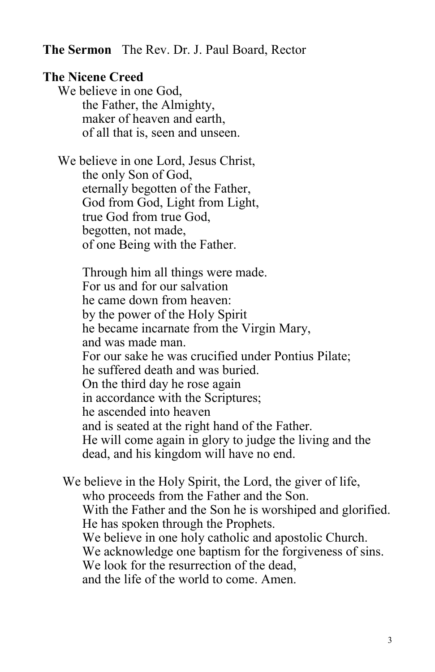**The Sermon** The Rev. Dr. J. Paul Board, Rector

#### **The Nicene Creed**

We believe in one God, the Father, the Almighty, maker of heaven and earth, of all that is, seen and unseen.

We believe in one Lord, Jesus Christ, the only Son of God, eternally begotten of the Father, God from God, Light from Light, true God from true God, begotten, not made, of one Being with the Father.

> Through him all things were made. For us and for our salvation he came down from heaven: by the power of the Holy Spirit he became incarnate from the Virgin Mary, and was made man. For our sake he was crucified under Pontius Pilate; he suffered death and was buried. On the third day he rose again in accordance with the Scriptures; he ascended into heaven and is seated at the right hand of the Father. He will come again in glory to judge the living and the dead, and his kingdom will have no end.

We believe in the Holy Spirit, the Lord, the giver of life, who proceeds from the Father and the Son. With the Father and the Son he is worshiped and glorified. He has spoken through the Prophets. We believe in one holy catholic and apostolic Church. We acknowledge one baptism for the forgiveness of sins. We look for the resurrection of the dead, and the life of the world to come. Amen.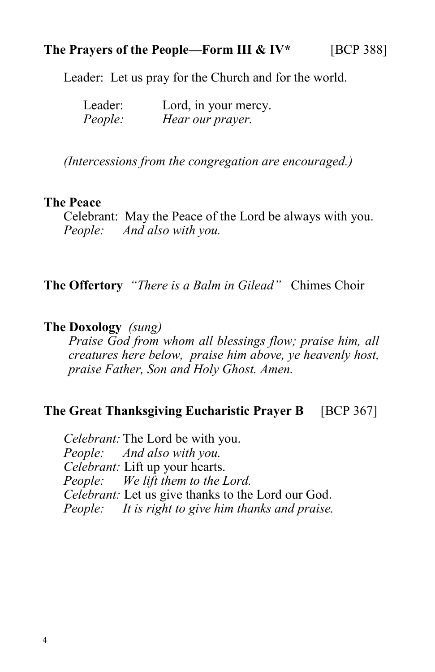### **The Prayers of the People—Form III & IV\*** [BCP 388]

Leader: Let us pray for the Church and for the world.

| Leader: | Lord, in your mercy. |
|---------|----------------------|
| People: | Hear our prayer.     |

 *(Intercessions from the congregation are encouraged.)*

#### **The Peace**

Celebrant: May the Peace of the Lord be always with you. *People: And also with you.*

**The Offertory** *"There is a Balm in Gilead"* Chimes Choir

#### **The Doxology** *(sung)*

*Praise God from whom all blessings flow; praise him, all creatures here below, praise him above, ye heavenly host, praise Father, Son and Holy Ghost. Amen.*

# **The Great Thanksgiving Eucharistic Prayer B** [BCP 367]

*Celebrant:* The Lord be with you. *People: And also with you. Celebrant:* Lift up your hearts. *People: We lift them to the Lord. Celebrant:* Let us give thanks to the Lord our God. *People: It is right to give him thanks and praise.*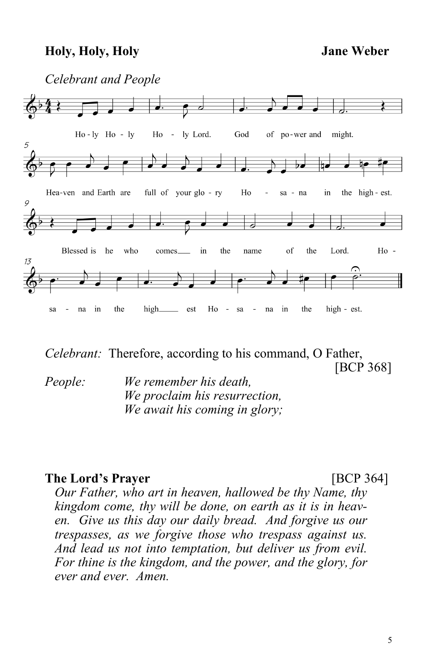### **Holy, Holy, Holy Jane Weber**



*Celebrant:* Therefore, according to his command, O Father, [BCP 368]

*People: We remember his death, We proclaim his resurrection, We await his coming in glory;*

# **The Lord's Prayer** [BCP 364]

*Our Father, who art in heaven, hallowed be thy Name, thy kingdom come, thy will be done, on earth as it is in heaven. Give us this day our daily bread. And forgive us our trespasses, as we forgive those who trespass against us. And lead us not into temptation, but deliver us from evil. For thine is the kingdom, and the power, and the glory, for ever and ever. Amen.*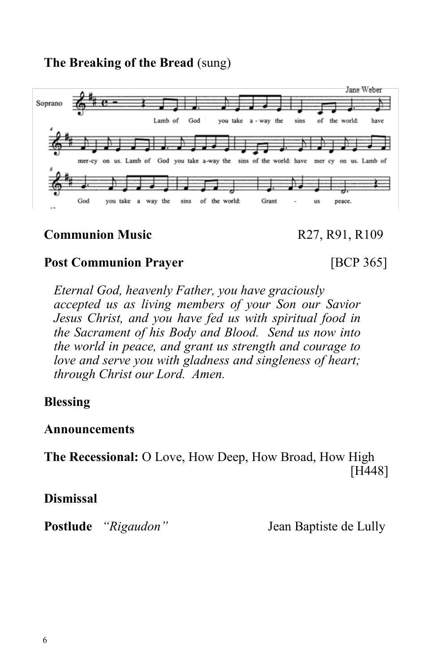**The Breaking of the Bread** (sung)



# **Communion Music** R27, R91, R109

# **Post Communion Prayer** [BCP 365]

*Eternal God, heavenly Father, you have graciously accepted us as living members of your Son our Savior Jesus Christ, and you have fed us with spiritual food in the Sacrament of his Body and Blood. Send us now into the world in peace, and grant us strength and courage to love and serve you with gladness and singleness of heart; through Christ our Lord. Amen.*

# **Blessing**

#### **Announcements**

**The Recessional:** O Love, How Deep, How Broad, How High [H448]

**Dismissal**

**Postlude** *"Rigaudon"* Jean Baptiste de Lully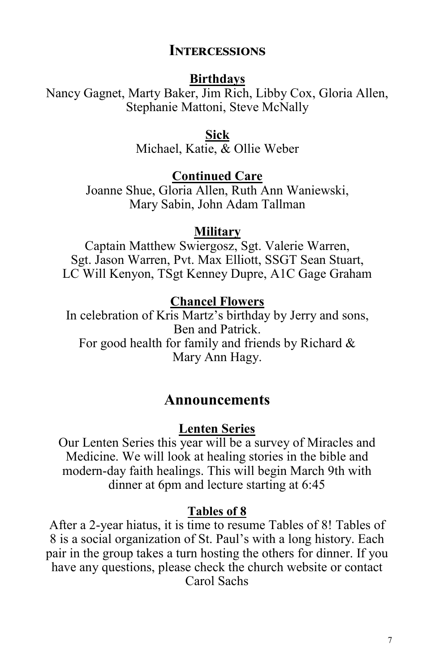### **Intercessions**

#### **Birthdays**

Nancy Gagnet, Marty Baker, Jim Rich, Libby Cox, Gloria Allen, Stephanie Mattoni, Steve McNally

#### **Sick**

Michael, Katie, & Ollie Weber

# **Continued Care**

Joanne Shue, Gloria Allen, Ruth Ann Waniewski, Mary Sabin, John Adam Tallman

#### **Military**

Captain Matthew Swiergosz, Sgt. Valerie Warren, Sgt. Jason Warren, Pvt. Max Elliott, SSGT Sean Stuart, LC Will Kenyon, TSgt Kenney Dupre, A1C Gage Graham

# **Chancel Flowers**

In celebration of Kris Martz's birthday by Jerry and sons, Ben and Patrick. For good health for family and friends by Richard & Mary Ann Hagy.

## **Announcements**

# **Lenten Series**

Our Lenten Series this year will be a survey of Miracles and Medicine. We will look at healing stories in the bible and modern-day faith healings. This will begin March 9th with dinner at 6pm and lecture starting at 6:45

#### **Tables of 8**

After a 2-year hiatus, it is time to resume Tables of 8! Tables of 8 is a social organization of St. Paul's with a long history. Each pair in the group takes a turn hosting the others for dinner. If you have any questions, please check the church website or contact Carol Sachs